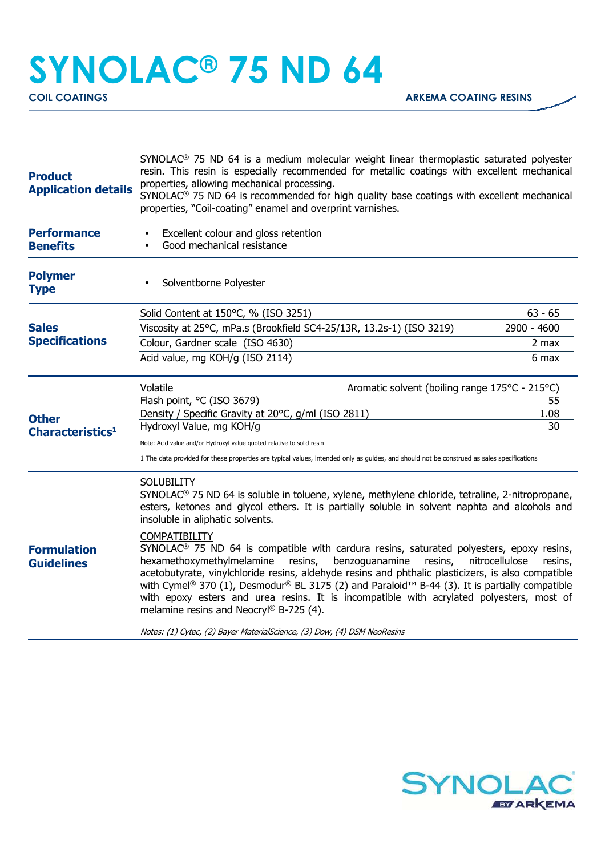## **SYNOLAC® 75 ND 64**

| <b>Product</b><br><b>Application details</b> | SYNOLAC <sup>®</sup> 75 ND 64 is a medium molecular weight linear thermoplastic saturated polyester<br>resin. This resin is especially recommended for metallic coatings with excellent mechanical<br>properties, allowing mechanical processing.<br>SYNOLAC <sup>®</sup> 75 ND 64 is recommended for high quality base coatings with excellent mechanical<br>properties, "Coil-coating" enamel and overprint varnishes.                                                                                                                                                                                                                                                                                                                                                                                                                                                                                                                     |             |  |
|----------------------------------------------|----------------------------------------------------------------------------------------------------------------------------------------------------------------------------------------------------------------------------------------------------------------------------------------------------------------------------------------------------------------------------------------------------------------------------------------------------------------------------------------------------------------------------------------------------------------------------------------------------------------------------------------------------------------------------------------------------------------------------------------------------------------------------------------------------------------------------------------------------------------------------------------------------------------------------------------------|-------------|--|
| <b>Performance</b><br><b>Benefits</b>        | Excellent colour and gloss retention<br>Good mechanical resistance                                                                                                                                                                                                                                                                                                                                                                                                                                                                                                                                                                                                                                                                                                                                                                                                                                                                           |             |  |
| <b>Polymer</b><br><b>Type</b>                | Solventborne Polyester                                                                                                                                                                                                                                                                                                                                                                                                                                                                                                                                                                                                                                                                                                                                                                                                                                                                                                                       |             |  |
| <b>Sales</b><br><b>Specifications</b>        | Solid Content at 150°C, % (ISO 3251)                                                                                                                                                                                                                                                                                                                                                                                                                                                                                                                                                                                                                                                                                                                                                                                                                                                                                                         | $63 - 65$   |  |
|                                              | Viscosity at 25°C, mPa.s (Brookfield SC4-25/13R, 13.2s-1) (ISO 3219)                                                                                                                                                                                                                                                                                                                                                                                                                                                                                                                                                                                                                                                                                                                                                                                                                                                                         | 2900 - 4600 |  |
|                                              | Colour, Gardner scale (ISO 4630)                                                                                                                                                                                                                                                                                                                                                                                                                                                                                                                                                                                                                                                                                                                                                                                                                                                                                                             | 2 max       |  |
|                                              | Acid value, mg KOH/g (ISO 2114)                                                                                                                                                                                                                                                                                                                                                                                                                                                                                                                                                                                                                                                                                                                                                                                                                                                                                                              | 6 max       |  |
| <b>Other</b><br>Characteristics <sup>1</sup> | Volatile<br>Aromatic solvent (boiling range 175°C - 215°C)                                                                                                                                                                                                                                                                                                                                                                                                                                                                                                                                                                                                                                                                                                                                                                                                                                                                                   |             |  |
|                                              | Flash point, °C (ISO 3679)                                                                                                                                                                                                                                                                                                                                                                                                                                                                                                                                                                                                                                                                                                                                                                                                                                                                                                                   | 55          |  |
|                                              | Density / Specific Gravity at 20°C, g/ml (ISO 2811)<br>Hydroxyl Value, mg KOH/g                                                                                                                                                                                                                                                                                                                                                                                                                                                                                                                                                                                                                                                                                                                                                                                                                                                              | 1.08<br>30  |  |
|                                              |                                                                                                                                                                                                                                                                                                                                                                                                                                                                                                                                                                                                                                                                                                                                                                                                                                                                                                                                              |             |  |
|                                              | Note: Acid value and/or Hydroxyl value quoted relative to solid resin<br>1 The data provided for these properties are typical values, intended only as guides, and should not be construed as sales specifications                                                                                                                                                                                                                                                                                                                                                                                                                                                                                                                                                                                                                                                                                                                           |             |  |
| <b>Formulation</b><br><b>Guidelines</b>      | <b>SOLUBILITY</b><br>SYNOLAC <sup>®</sup> 75 ND 64 is soluble in toluene, xylene, methylene chloride, tetraline, 2-nitropropane,<br>esters, ketones and glycol ethers. It is partially soluble in solvent naphta and alcohols and<br>insoluble in aliphatic solvents.<br><b>COMPATIBILITY</b><br>SYNOLAC <sup>®</sup> 75 ND 64 is compatible with cardura resins, saturated polyesters, epoxy resins,<br>hexamethoxymethylmelamine<br>resins,<br>benzoguanamine<br>nitrocellulose<br>resins,<br>resins,<br>acetobutyrate, vinylchloride resins, aldehyde resins and phthalic plasticizers, is also compatible<br>with Cymel® 370 (1), Desmodur® BL 3175 (2) and Paraloid <sup>™</sup> B-44 (3). It is partially compatible<br>with epoxy esters and urea resins. It is incompatible with acrylated polyesters, most of<br>melamine resins and Neocryl® B-725 (4).<br>Notes: (1) Cytec, (2) Bayer MaterialScience, (3) Dow, (4) DSM NeoResins |             |  |
|                                              |                                                                                                                                                                                                                                                                                                                                                                                                                                                                                                                                                                                                                                                                                                                                                                                                                                                                                                                                              |             |  |